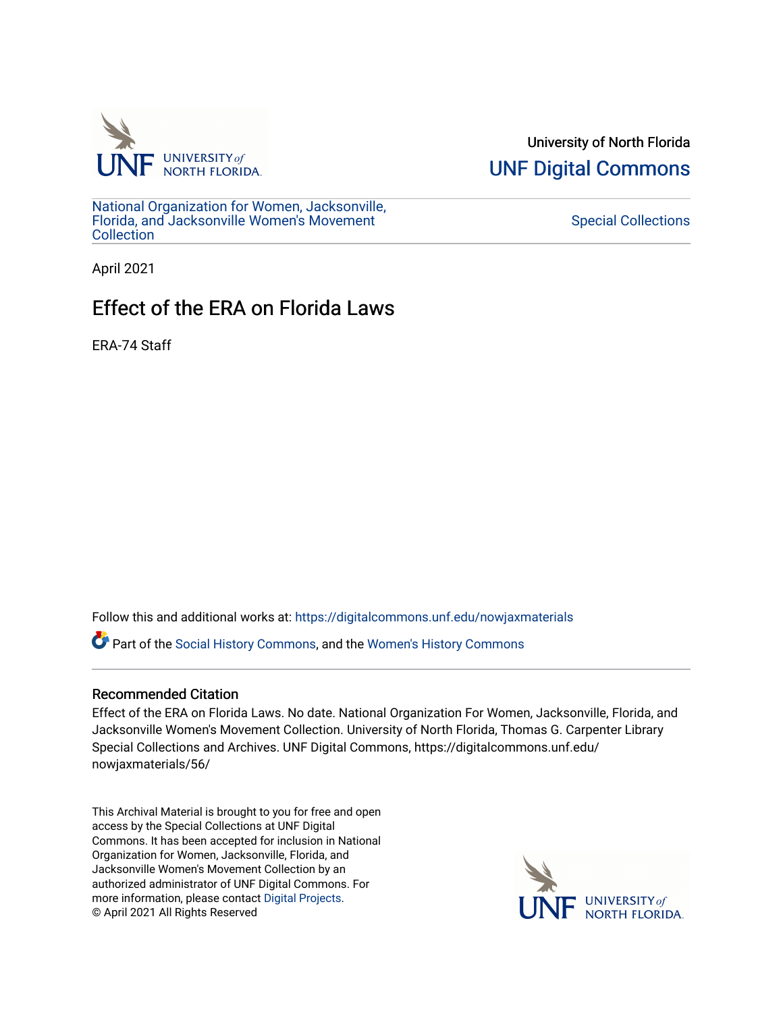

University of North Florida [UNF Digital Commons](https://digitalcommons.unf.edu/) 

[National Organization for Women, Jacksonville,](https://digitalcommons.unf.edu/nowjaxmaterials) [Florida, and Jacksonville Women's Movement](https://digitalcommons.unf.edu/nowjaxmaterials) **Collection** 

## [Special Collections](https://digitalcommons.unf.edu/special_collections)

April 2021

## Effect of the ERA on Florida Laws

ERA-74 Staff

Follow this and additional works at: [https://digitalcommons.unf.edu/nowjaxmaterials](https://digitalcommons.unf.edu/nowjaxmaterials?utm_source=digitalcommons.unf.edu%2Fnowjaxmaterials%2F56&utm_medium=PDF&utm_campaign=PDFCoverPages) 

Part of the [Social History Commons](http://network.bepress.com/hgg/discipline/506?utm_source=digitalcommons.unf.edu%2Fnowjaxmaterials%2F56&utm_medium=PDF&utm_campaign=PDFCoverPages), and the [Women's History Commons](http://network.bepress.com/hgg/discipline/507?utm_source=digitalcommons.unf.edu%2Fnowjaxmaterials%2F56&utm_medium=PDF&utm_campaign=PDFCoverPages)

## Recommended Citation

Effect of the ERA on Florida Laws. No date. National Organization For Women, Jacksonville, Florida, and Jacksonville Women's Movement Collection. University of North Florida, Thomas G. Carpenter Library Special Collections and Archives. UNF Digital Commons, https://digitalcommons.unf.edu/ nowjaxmaterials/56/

This Archival Material is brought to you for free and open access by the Special Collections at UNF Digital Commons. It has been accepted for inclusion in National Organization for Women, Jacksonville, Florida, and Jacksonville Women's Movement Collection by an authorized administrator of UNF Digital Commons. For more information, please contact [Digital Projects](mailto:lib-digital@unf.edu). © April 2021 All Rights Reserved

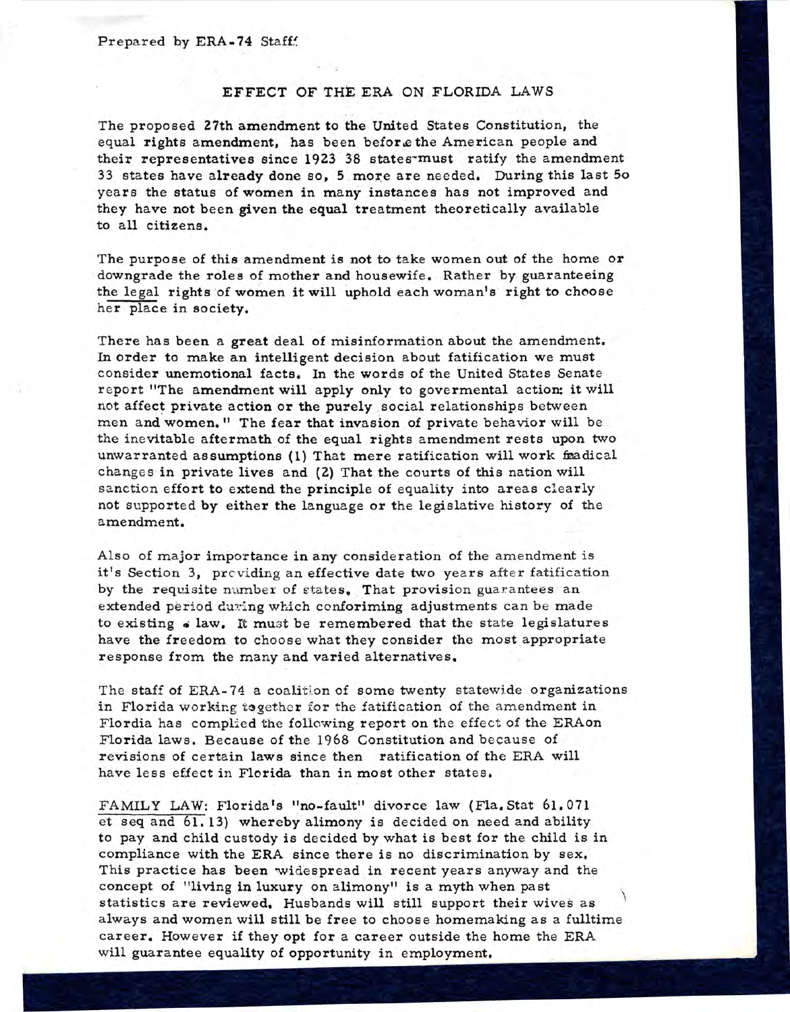## EFFECT OF THE ERA ON FLORIDA LAWS

The proposed 27th amendment to the United States Constitution, the equal rights amendment, has been. before the American people and their representatives since 1923 38 states-must ratify the amendment 33 states have already done so, 5 more are needed. During this last So years the status of women in many instances has not improved and they have not been given the equal treatment theoretically available to all citizens.

The purpose of this amendment is not to take women out of the home or downgrade the roles of mother and housewife. Rather by guaranteeing the legal rights of women it will uphold each woman's right to choose her place in society.

There has been a great deal of misinformation about the amendment. In order to make an intelligent decision about fatification we must consider unemotional facts. In the words of the United States Senate report "The amendment will apply only to govermental action: it will not affect private action or the purely social relationships between men and women." The fear that invasion of private behavior will be the ine vitable aftermath of the equal rights amendment rests upon two unwarranted assumptions (1) That mere ratification will work fradical changes in private lives and (2) That the courts of this nation will sanction effort to extend the principle of equality into areas clearly not supported by either the language or the legislative history of the amendment.

Also of major importance in any consideration of the amendment is it's Section 3, providing an effective date two years after fatification by the requisite number of states. That provision guarantees an extended period during which conforiming adjustments can be made to existing  $\epsilon$  law. It must be remembered that the state legislatures have the freedom to choose what they consider the most appropriate response from the many and varied alternatives.

The staff of ERA-74 a coalition of some twenty statewide organizations in Florida working together for the fatification of the amendment in Flordia has complied the following report on the effect of the ERAon Florida laws. Because of the 1968 Constitution and because of revisions of certain laws since then ratification of the ERA will have less effect in Florida than in most other states.

FAMILY LAW: Florida's "no-fault" divorce law (Fla. Stat 61.071 et seq and  $61.13$ ) whereby alimony is decided on need and ability to pay and child custody is decided by what is best for the child is in compliance with the ERA since there is no discrimination by sex. This practice has been widespread in recent years anyway and the concept of "living in **luxury** on alimony" is a myth when past statistics are reviewed. Husbands will still support their wives as always and women will still be free to choose homemaking as a fulltime career. However if they opt for a career outside the home the ERA will guarantee equality of opportunity in employment.